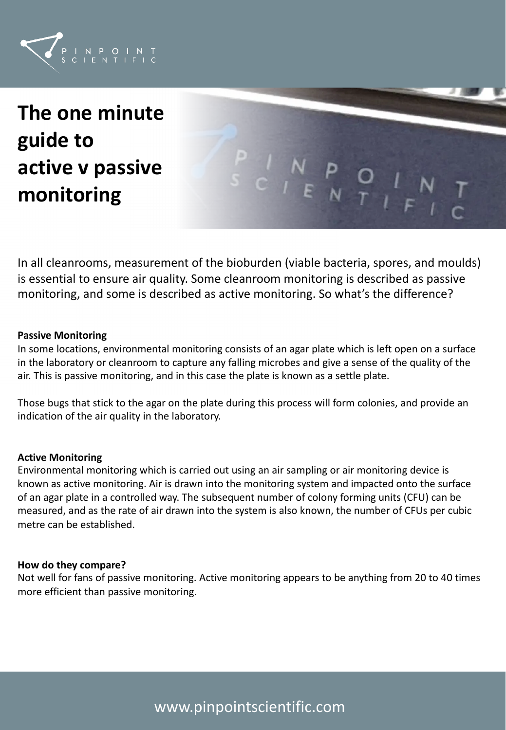

# **The one minute guide to active v passive monitoring**



In all cleanrooms, measurement of the bioburden (viable bacteria, spores, and moulds) is essential to ensure air quality. Some cleanroom monitoring is described as passive monitoring, and some is described as active monitoring. So what's the difference?

#### **Passive Monitoring**

In some locations, environmental monitoring consists of an agar plate which is left open on a surface in the laboratory or cleanroom to capture any falling microbes and give a sense of the quality of the air. This is passive monitoring, and in this case the plate is known as a settle plate.

Those bugs that stick to the agar on the plate during this process will form colonies, and provide an indication of the air quality in the laboratory.

#### **Active Monitoring**

Environmental monitoring which is carried out using an air sampling or air monitoring device is known as active monitoring. Air is drawn into the monitoring system and impacted onto the surface of an agar plate in a controlled way. The subsequent number of colony forming units (CFU) can be measured, and as the rate of air drawn into the system is also known, the number of CFUs per cubic metre can be established.

#### **How do they compare?**

Not well for fans of passive monitoring. Active monitoring appears to be anything from 20 to 40 times more efficient than passive monitoring.